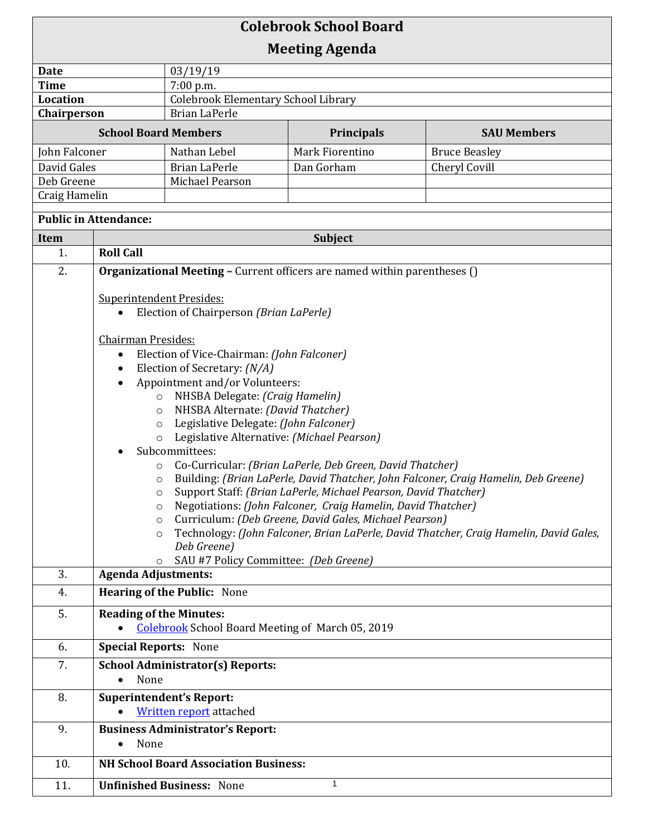| <b>Colebrook School Board</b>         |                                                                                                                                                                                                                                                   |                                                         |                                                           |                                                                                        |  |  |
|---------------------------------------|---------------------------------------------------------------------------------------------------------------------------------------------------------------------------------------------------------------------------------------------------|---------------------------------------------------------|-----------------------------------------------------------|----------------------------------------------------------------------------------------|--|--|
| <b>Meeting Agenda</b>                 |                                                                                                                                                                                                                                                   |                                                         |                                                           |                                                                                        |  |  |
| Date                                  |                                                                                                                                                                                                                                                   | 03/19/19                                                |                                                           |                                                                                        |  |  |
| <b>Time</b>                           |                                                                                                                                                                                                                                                   | 7:00 p.m.                                               |                                                           |                                                                                        |  |  |
| <b>Location</b>                       |                                                                                                                                                                                                                                                   | <b>Colebrook Elementary School Library</b>              |                                                           |                                                                                        |  |  |
| Chairperson                           |                                                                                                                                                                                                                                                   | <b>Brian LaPerle</b>                                    |                                                           |                                                                                        |  |  |
| <b>School Board Members</b>           |                                                                                                                                                                                                                                                   |                                                         | Principals                                                | <b>SAU Members</b>                                                                     |  |  |
| John Falconer                         |                                                                                                                                                                                                                                                   | Nathan Lebel                                            | Mark Fiorentino                                           | <b>Bruce Beasley</b>                                                                   |  |  |
| David Gales                           |                                                                                                                                                                                                                                                   | <b>Brian LaPerle</b>                                    | Dan Gorham                                                | Cheryl Covill                                                                          |  |  |
| Deb Greene                            |                                                                                                                                                                                                                                                   | Michael Pearson                                         |                                                           |                                                                                        |  |  |
| Craig Hamelin                         |                                                                                                                                                                                                                                                   |                                                         |                                                           |                                                                                        |  |  |
| <b>Public in Attendance:</b>          |                                                                                                                                                                                                                                                   |                                                         |                                                           |                                                                                        |  |  |
| Subject<br><b>Item</b>                |                                                                                                                                                                                                                                                   |                                                         |                                                           |                                                                                        |  |  |
| 1.                                    | <b>Roll Call</b>                                                                                                                                                                                                                                  |                                                         |                                                           |                                                                                        |  |  |
| 2.                                    | <b>Organizational Meeting - Current officers are named within parentheses ()</b>                                                                                                                                                                  |                                                         |                                                           |                                                                                        |  |  |
|                                       |                                                                                                                                                                                                                                                   |                                                         |                                                           |                                                                                        |  |  |
|                                       | <b>Superintendent Presides:</b><br>Election of Chairperson (Brian LaPerle)<br>$\bullet$                                                                                                                                                           |                                                         |                                                           |                                                                                        |  |  |
|                                       |                                                                                                                                                                                                                                                   |                                                         |                                                           |                                                                                        |  |  |
|                                       | <b>Chairman Presides:</b>                                                                                                                                                                                                                         |                                                         |                                                           |                                                                                        |  |  |
|                                       | $\bullet$                                                                                                                                                                                                                                         | Election of Vice-Chairman: (John Falconer)              |                                                           |                                                                                        |  |  |
|                                       | Election of Secretary: (N/A)<br>$\bullet$                                                                                                                                                                                                         |                                                         |                                                           |                                                                                        |  |  |
|                                       | Appointment and/or Volunteers:<br>$\bullet$<br>NHSBA Delegate: (Craig Hamelin)<br>$\circ$                                                                                                                                                         |                                                         |                                                           |                                                                                        |  |  |
|                                       |                                                                                                                                                                                                                                                   |                                                         |                                                           |                                                                                        |  |  |
|                                       | $\circ$                                                                                                                                                                                                                                           | NHSBA Alternate: (David Thatcher)                       |                                                           |                                                                                        |  |  |
|                                       | $\circ$                                                                                                                                                                                                                                           | Legislative Delegate: (John Falconer)                   |                                                           |                                                                                        |  |  |
|                                       | $\circ$                                                                                                                                                                                                                                           | Legislative Alternative: (Michael Pearson)              |                                                           |                                                                                        |  |  |
|                                       |                                                                                                                                                                                                                                                   | Subcommittees:                                          |                                                           |                                                                                        |  |  |
|                                       |                                                                                                                                                                                                                                                   |                                                         | Co-Curricular: (Brian LaPerle, Deb Green, David Thatcher) |                                                                                        |  |  |
|                                       | Building: (Brian LaPerle, David Thatcher, John Falconer, Craig Hamelin, Deb Greene)<br>O<br>Support Staff: (Brian LaPerle, Michael Pearson, David Thatcher)<br>$\circ$<br>Negotiations: (John Falconer, Craig Hamelin, David Thatcher)<br>$\circ$ |                                                         |                                                           |                                                                                        |  |  |
|                                       |                                                                                                                                                                                                                                                   |                                                         |                                                           |                                                                                        |  |  |
|                                       | Curriculum: (Deb Greene, David Gales, Michael Pearson)<br>$\circ$                                                                                                                                                                                 |                                                         |                                                           |                                                                                        |  |  |
|                                       | $\circ$                                                                                                                                                                                                                                           |                                                         |                                                           | Technology: (John Falconer, Brian LaPerle, David Thatcher, Craig Hamelin, David Gales, |  |  |
|                                       |                                                                                                                                                                                                                                                   | Deb Greene)                                             |                                                           |                                                                                        |  |  |
|                                       | $\circ$                                                                                                                                                                                                                                           | SAU #7 Policy Committee: (Deb Greene)                   |                                                           |                                                                                        |  |  |
| 3.                                    | <b>Agenda Adjustments:</b>                                                                                                                                                                                                                        |                                                         |                                                           |                                                                                        |  |  |
| 4.                                    | <b>Hearing of the Public: None</b>                                                                                                                                                                                                                |                                                         |                                                           |                                                                                        |  |  |
| 5.                                    |                                                                                                                                                                                                                                                   | <b>Reading of the Minutes:</b>                          |                                                           |                                                                                        |  |  |
|                                       |                                                                                                                                                                                                                                                   | <b>Colebrook School Board Meeting of March 05, 2019</b> |                                                           |                                                                                        |  |  |
| 6.                                    | <b>Special Reports: None</b>                                                                                                                                                                                                                      |                                                         |                                                           |                                                                                        |  |  |
| 7.                                    | <b>School Administrator(s) Reports:</b><br>None<br>$\bullet$                                                                                                                                                                                      |                                                         |                                                           |                                                                                        |  |  |
| 8.<br><b>Superintendent's Report:</b> |                                                                                                                                                                                                                                                   |                                                         |                                                           |                                                                                        |  |  |
|                                       | <b>Written report</b> attached                                                                                                                                                                                                                    |                                                         |                                                           |                                                                                        |  |  |
| 9.                                    | <b>Business Administrator's Report:</b>                                                                                                                                                                                                           |                                                         |                                                           |                                                                                        |  |  |
|                                       | None<br>$\bullet$                                                                                                                                                                                                                                 |                                                         |                                                           |                                                                                        |  |  |
| 10.                                   | <b>NH School Board Association Business:</b>                                                                                                                                                                                                      |                                                         |                                                           |                                                                                        |  |  |
| 11.                                   |                                                                                                                                                                                                                                                   | <b>Unfinished Business: None</b>                        | $\mathbf{1}$                                              |                                                                                        |  |  |